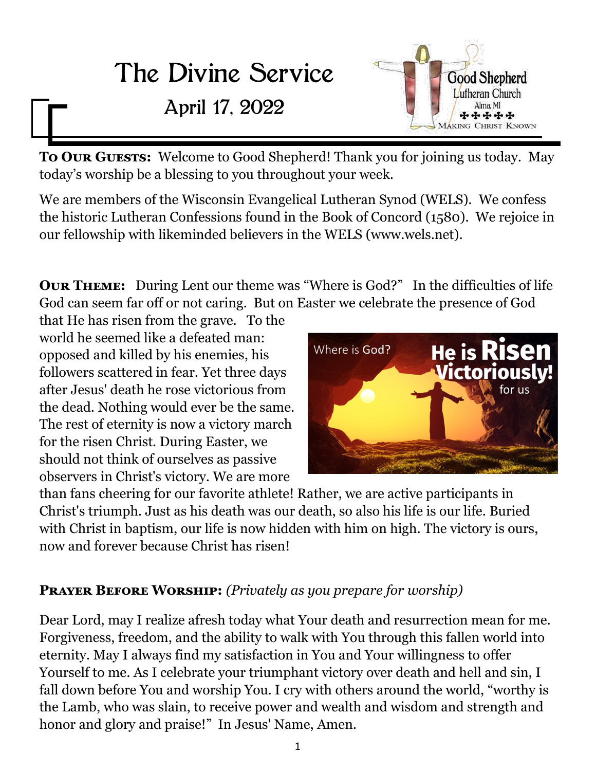# The Divine Service

# April 17, 2022



**To OUR GUESTS:** Welcome to Good Shepherd! Thank you for joining us today. May today's worship be a blessing to you throughout your week.

We are members of the Wisconsin Evangelical Lutheran Synod (WELS). We confess the historic Lutheran Confessions found in the Book of Concord (1580). We rejoice in our fellowship with likeminded believers in the WELS (www.wels.net).

**Our Theme:** During Lent our theme was "Where is God?" In the difficulties of life God can seem far off or not caring. But on Easter we celebrate the presence of God

that He has risen from the grave. To the world he seemed like a defeated man: opposed and killed by his enemies, his followers scattered in fear. Yet three days after Jesus' death he rose victorious from the dead. Nothing would ever be the same. The rest of eternity is now a victory march for the risen Christ. During Easter, we should not think of ourselves as passive observers in Christ's victory. We are more



than fans cheering for our favorite athlete! Rather, we are active participants in Christ's triumph. Just as his death was our death, so also his life is our life. Buried with Christ in baptism, our life is now hidden with him on high. The victory is ours, now and forever because Christ has risen!

# **Prayer Before Worship:** *(Privately as you prepare for worship)*

Dear Lord, may I realize afresh today what Your death and resurrection mean for me. Forgiveness, freedom, and the ability to walk with You through this fallen world into eternity. May I always find my satisfaction in You and Your willingness to offer Yourself to me. As I celebrate your triumphant victory over death and hell and sin, I fall down before You and worship You. I cry with others around the world, "worthy is the Lamb, who was slain, to receive power and wealth and wisdom and strength and honor and glory and praise!" In Jesus' Name, Amen.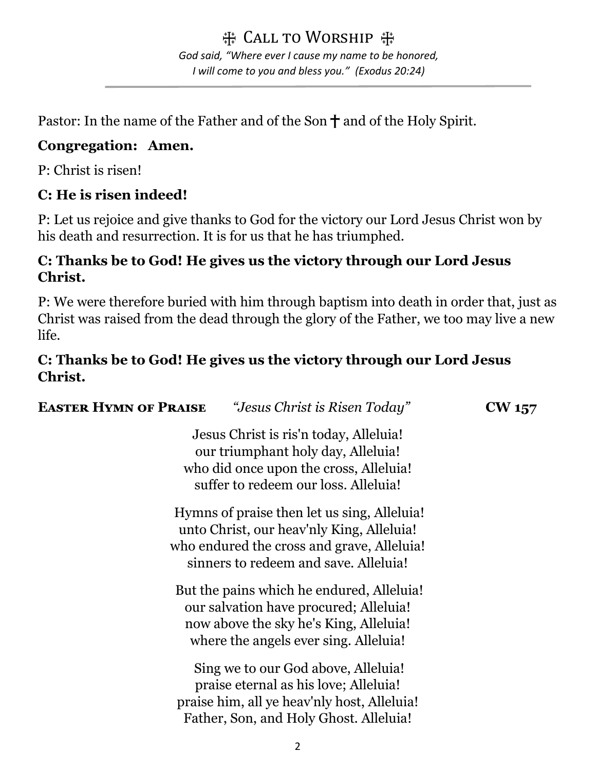带 Call to Worship 带 *God said, "Where ever I cause my name to be honored, I will come to you and bless you." (Exodus 20:24)*

Pastor: In the name of the Father and of the Son  $\dagger$  and of the Holy Spirit.

# **Congregation: Amen.**

P: Christ is risen!

# **C: He is risen indeed!**

P: Let us rejoice and give thanks to God for the victory our Lord Jesus Christ won by his death and resurrection. It is for us that he has triumphed.

# **C: Thanks be to God! He gives us the victory through our Lord Jesus Christ.**

P: We were therefore buried with him through baptism into death in order that, just as Christ was raised from the dead through the glory of the Father, we too may live a new life.

# **C: Thanks be to God! He gives us the victory through our Lord Jesus Christ.**

| <b>EASTER HYMN OF PRAISE</b>                                                                                                                                                    | <i>"Jesus Christ is Risen Today"</i>                                                                                                                                   | CW 157 |
|---------------------------------------------------------------------------------------------------------------------------------------------------------------------------------|------------------------------------------------------------------------------------------------------------------------------------------------------------------------|--------|
| Jesus Christ is ris'n today, Alleluia!<br>our triumphant holy day, Alleluia!<br>who did once upon the cross, Alleluia!<br>suffer to redeem our loss. Alleluia!                  |                                                                                                                                                                        |        |
| Hymns of praise then let us sing, Alleluia!<br>unto Christ, our heav'nly King, Alleluia!<br>who endured the cross and grave, Alleluia!<br>sinners to redeem and save. Alleluia! |                                                                                                                                                                        |        |
|                                                                                                                                                                                 | But the pains which he endured, Alleluia!<br>our salvation have procured; Alleluia!<br>now above the sky he's King, Alleluia!<br>where the angels ever sing. Alleluia! |        |
|                                                                                                                                                                                 | Sing we to our God above, Alleluia!<br>praise eternal as his love; Alleluia!<br>praise him, all ye heav'nly host, Alleluia!<br>Father, Son, and Holy Ghost. Alleluia!  |        |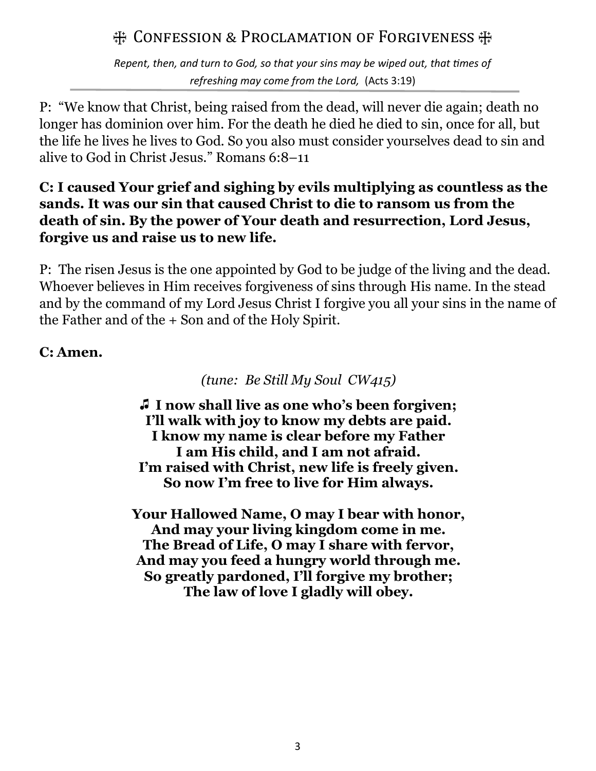# $#$  **Confession & Proclamation of Forgiveness**

*Repent, then, and turn to God, so that your sins may be wiped out, that times of refreshing may come from the Lord,* (Acts 3:19)

P: "We know that Christ, being raised from the dead, will never die again; death no longer has dominion over him. For the death he died he died to sin, once for all, but the life he lives he lives to God. So you also must consider yourselves dead to sin and alive to God in Christ Jesus." Romans 6:8–11

# **C: I caused Your grief and sighing by evils multiplying as countless as the sands. It was our sin that caused Christ to die to ransom us from the death of sin. By the power of Your death and resurrection, Lord Jesus, forgive us and raise us to new life.**

P: The risen Jesus is the one appointed by God to be judge of the living and the dead. Whoever believes in Him receives forgiveness of sins through His name. In the stead and by the command of my Lord Jesus Christ I forgive you all your sins in the name of the Father and of the + Son and of the Holy Spirit.

# **C: Amen.**

*(tune: Be Still My Soul CW415)*

z **I now shall live as one who's been forgiven; I'll walk with joy to know my debts are paid. I know my name is clear before my Father I am His child, and I am not afraid. I'm raised with Christ, new life is freely given. So now I'm free to live for Him always.**

**Your Hallowed Name, O may I bear with honor, And may your living kingdom come in me. The Bread of Life, O may I share with fervor, And may you feed a hungry world through me. So greatly pardoned, I'll forgive my brother; The law of love I gladly will obey.**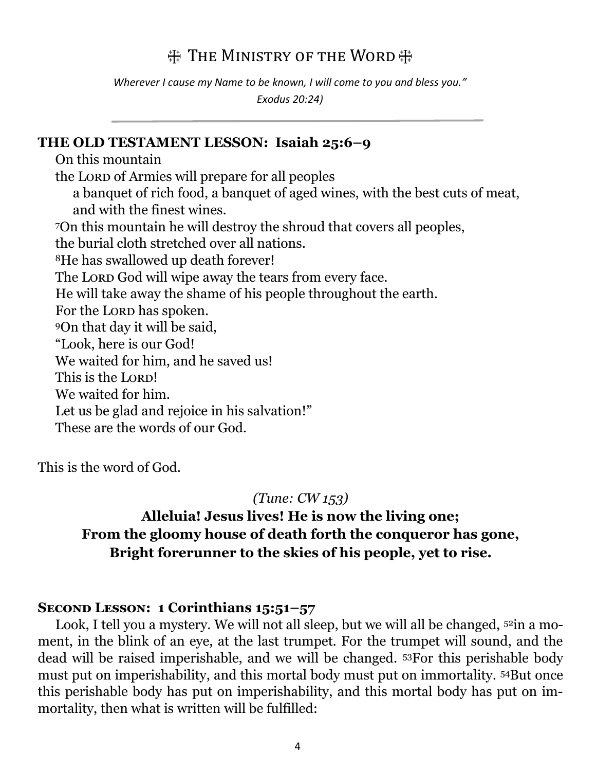# **THE MINISTRY OF THE WORD**

*Wherever I cause my Name to be known, I will come to you and bless you." Exodus 20:24)*

#### **THE OLD TESTAMENT LESSON: Isaiah 25:6–9**

On this mountain the Lord of Armies will prepare for all peoples a banquet of rich food, a banquet of aged wines, with the best cuts of meat, and with the finest wines. <sup>7</sup>On this mountain he will destroy the shroud that covers all peoples, the burial cloth stretched over all nations. <sup>8</sup>He has swallowed up death forever! The Lord God will wipe away the tears from every face. He will take away the shame of his people throughout the earth. For the LORD has spoken. <sup>9</sup>On that day it will be said, "Look, here is our God! We waited for him, and he saved us! This is the LORD! We waited for him. Let us be glad and rejoice in his salvation!" These are the words of our God.

This is the word of God.

#### *(Tune: CW 153)*

# **Alleluia! Jesus lives! He is now the living one; From the gloomy house of death forth the conqueror has gone, Bright forerunner to the skies of his people, yet to rise.**

#### **Second Lesson: 1 Corinthians 15:51–57**

Look, I tell you a mystery. We will not all sleep, but we will all be changed, <sup>52</sup>in a moment, in the blink of an eye, at the last trumpet. For the trumpet will sound, and the dead will be raised imperishable, and we will be changed. 53For this perishable body must put on imperishability, and this mortal body must put on immortality. 54But once this perishable body has put on imperishability, and this mortal body has put on immortality, then what is written will be fulfilled: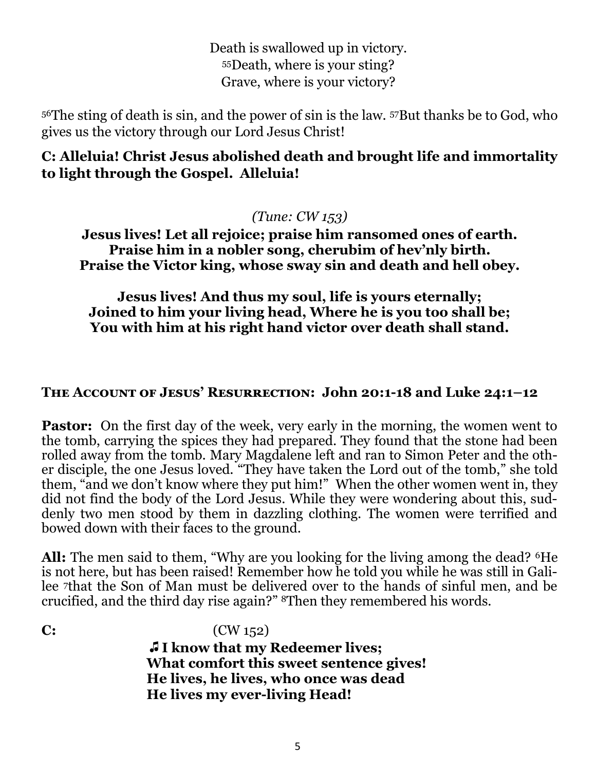Death is swallowed up in victory. <sup>55</sup>Death, where is your sting? Grave, where is your victory?

<sup>56</sup>The sting of death is sin, and the power of sin is the law. 57But thanks be to God, who gives us the victory through our Lord Jesus Christ!

#### **C: Alleluia! Christ Jesus abolished death and brought life and immortality to light through the Gospel. Alleluia!**

#### *(Tune: CW 153)*

**Jesus lives! Let all rejoice; praise him ransomed ones of earth. Praise him in a nobler song, cherubim of hev'nly birth. Praise the Victor king, whose sway sin and death and hell obey.** 

**Jesus lives! And thus my soul, life is yours eternally; Joined to him your living head, Where he is you too shall be; You with him at his right hand victor over death shall stand.**

#### **The Account of Jesus' Resurrection: John 20:1-18 and Luke 24:1–12**

**Pastor:** On the first day of the week, very early in the morning, the women went to the tomb, carrying the spices they had prepared. They found that the stone had been rolled away from the tomb. Mary Magdalene left and ran to Simon Peter and the other disciple, the one Jesus loved. "They have taken the Lord out of the tomb," she told them, "and we don't know where they put him!" When the other women went in, they did not find the body of the Lord Jesus. While they were wondering about this, suddenly two men stood by them in dazzling clothing. The women were terrified and bowed down with their faces to the ground.

All: The men said to them, "Why are you looking for the living among the dead? <sup>6</sup>He is not here, but has been raised! Remember how he told you while he was still in Galilee 7that the Son of Man must be delivered over to the hands of sinful men, and be crucified, and the third day rise again?" 8Then they remembered his words.

**C:** (CW 152)

z **I know that my Redeemer lives; What comfort this sweet sentence gives! He lives, he lives, who once was dead He lives my ever-living Head!**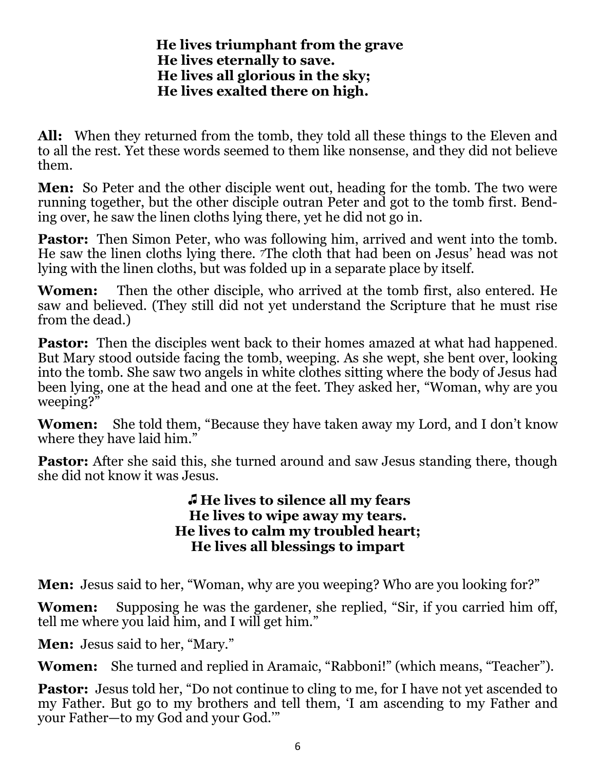#### **He lives triumphant from the grave He lives eternally to save. He lives all glorious in the sky; He lives exalted there on high.**

**All:** When they returned from the tomb, they told all these things to the Eleven and to all the rest. Yet these words seemed to them like nonsense, and they did not believe them.

**Men:** So Peter and the other disciple went out, heading for the tomb. The two were running together, but the other disciple outran Peter and got to the tomb first. Bending over, he saw the linen cloths lying there, yet he did not go in.

**Pastor:** Then Simon Peter, who was following him, arrived and went into the tomb. He saw the linen cloths lying there. 7The cloth that had been on Jesus' head was not lying with the linen cloths, but was folded up in a separate place by itself.

**Women:** Then the other disciple, who arrived at the tomb first, also entered. He saw and believed. (They still did not yet understand the Scripture that he must rise from the dead.)

**Pastor:** Then the disciples went back to their homes amazed at what had happened. But Mary stood outside facing the tomb, weeping. As she wept, she bent over, looking into the tomb. She saw two angels in white clothes sitting where the body of Jesus had been lying, one at the head and one at the feet. They asked her, "Woman, why are you weeping?"

**Women:** She told them, "Because they have taken away my Lord, and I don't know where they have laid him."

**Pastor:** After she said this, she turned around and saw Jesus standing there, though she did not know it was Jesus.

#### z **He lives to silence all my fears He lives to wipe away my tears. He lives to calm my troubled heart; He lives all blessings to impart**

**Men:** Jesus said to her, "Woman, why are you weeping? Who are you looking for?"

**Women:** Supposing he was the gardener, she replied, "Sir, if you carried him off, tell me where you laid him, and I will get him."

**Men:** Jesus said to her, "Mary."

**Women:** She turned and replied in Aramaic, "Rabboni!" (which means, "Teacher").

**Pastor:** Jesus told her, "Do not continue to cling to me, for I have not yet ascended to my Father. But go to my brothers and tell them, 'I am ascending to my Father and your Father—to my God and your God.'"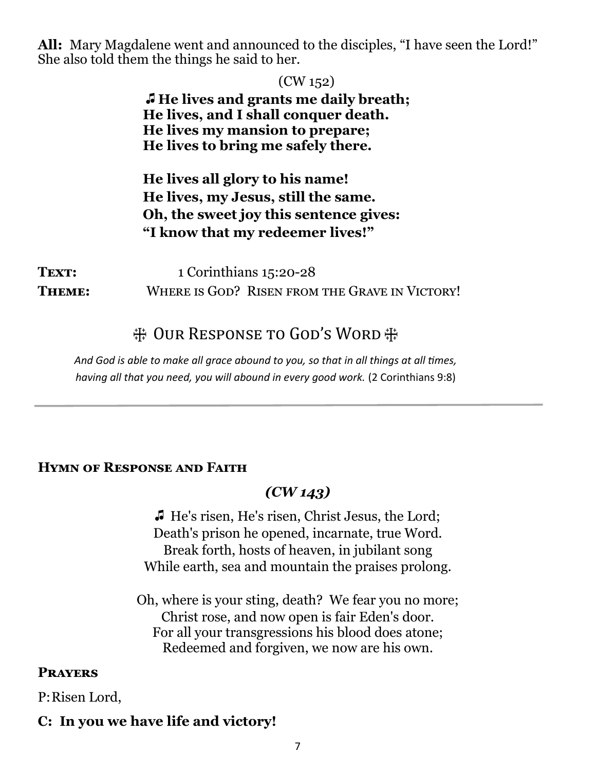**All:** Mary Magdalene went and announced to the disciples, "I have seen the Lord!" She also told them the things he said to her.

|        | (CW 152)                                       |
|--------|------------------------------------------------|
|        | <b>I</b> He lives and grants me daily breath;  |
|        | He lives, and I shall conquer death.           |
|        | He lives my mansion to prepare;                |
|        | He lives to bring me safely there.             |
|        | He lives all glory to his name!                |
|        | He lives, my Jesus, still the same.            |
|        | Oh, the sweet joy this sentence gives:         |
|        | "I know that my redeemer lives!"               |
| TEXT:  | 1 Corinthians 15:20-28                         |
| THEME: | WHERE IS GOD? RISEN FROM THE GRAVE IN VICTORY! |

# 带 Our Response to God's Word #

*And God is able to make all grace abound to you, so that in all things at all times, having all that you need, you will abound in every good work.* (2 Corinthians 9:8)

#### **Hymn of Response and Faith**

#### *(CW 143)*

z He's risen, He's risen, Christ Jesus, the Lord; Death's prison he opened, incarnate, true Word. Break forth, hosts of heaven, in jubilant song While earth, sea and mountain the praises prolong.

Oh, where is your sting, death? We fear you no more; Christ rose, and now open is fair Eden's door. For all your transgressions his blood does atone; Redeemed and forgiven, we now are his own.

#### **Prayers**

P:Risen Lord,

#### **C: In you we have life and victory!**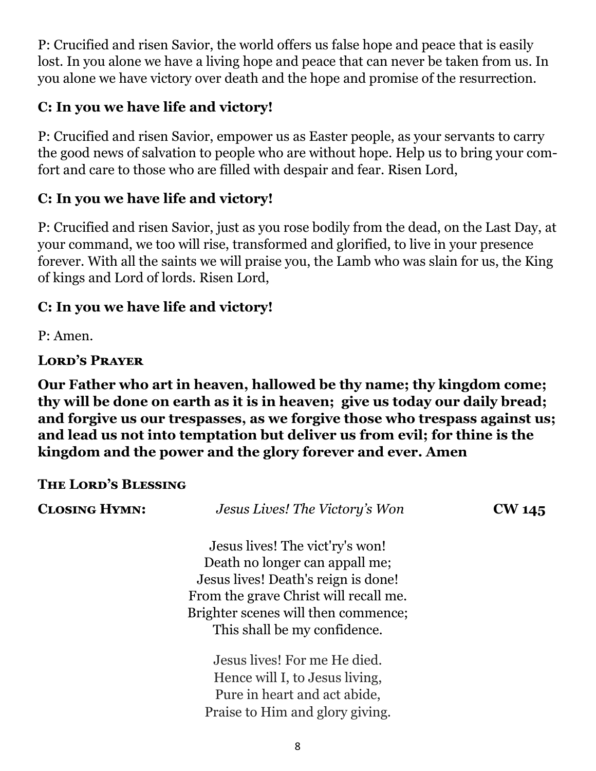P: Crucified and risen Savior, the world offers us false hope and peace that is easily lost. In you alone we have a living hope and peace that can never be taken from us. In you alone we have victory over death and the hope and promise of the resurrection.

# **C: In you we have life and victory!**

P: Crucified and risen Savior, empower us as Easter people, as your servants to carry the good news of salvation to people who are without hope. Help us to bring your comfort and care to those who are filled with despair and fear. Risen Lord,

# **C: In you we have life and victory!**

P: Crucified and risen Savior, just as you rose bodily from the dead, on the Last Day, at your command, we too will rise, transformed and glorified, to live in your presence forever. With all the saints we will praise you, the Lamb who was slain for us, the King of kings and Lord of lords. Risen Lord,

# **C: In you we have life and victory!**

P: Amen.

# **Lord's Prayer**

**Our Father who art in heaven, hallowed be thy name; thy kingdom come; thy will be done on earth as it is in heaven; give us today our daily bread; and forgive us our trespasses, as we forgive those who trespass against us; and lead us not into temptation but deliver us from evil; for thine is the kingdom and the power and the glory forever and ever. Amen**

#### **The Lord's Blessing**

| <b>CLOSING HYMN:</b> | Jesus Lives! The Victory's Won        | <b>CW 145</b> |
|----------------------|---------------------------------------|---------------|
|                      | Jesus lives! The vict'ry's won!       |               |
|                      | Death no longer can appall me;        |               |
|                      | Jesus lives! Death's reign is done!   |               |
|                      | From the grave Christ will recall me. |               |
|                      | Brighter scenes will then commence;   |               |
|                      | This shall be my confidence.          |               |
|                      | Jesus lives! For me He died.          |               |
|                      | Hence will I, to Jesus living,        |               |
|                      | Pure in heart and act abide,          |               |
|                      | Praise to Him and glory giving.       |               |